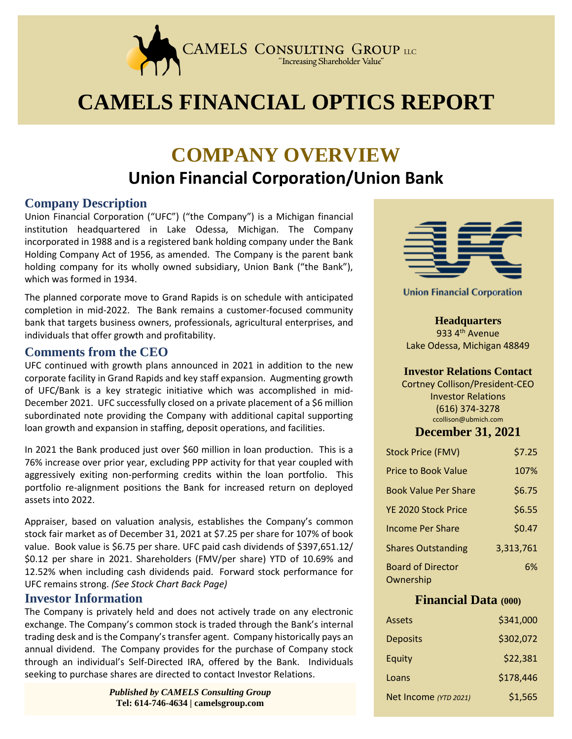

# **CAMELS FINANCIAL OPTICS REPORT**

## **COMPANY OVERVIEW Union Financial Corporation/Union Bank**

#### **Company Description**

Union Financial Corporation ("UFC") ("the Company") is a Michigan financial institution headquartered in Lake Odessa, Michigan. The Company incorporated in 1988 and is a registered bank holding company under the Bank Holding Company Act of 1956, as amended. The Company is the parent bank holding company for its wholly owned subsidiary, Union Bank ("the Bank"), which was formed in 1934.

The planned corporate move to Grand Rapids is on schedule with anticipated completion in mid-2022. The Bank remains a customer-focused community bank that targets business owners, professionals, agricultural enterprises, and individuals that offer growth and profitability.

#### **Comments from the CEO**

UFC continued with growth plans announced in 2021 in addition to the new corporate facility in Grand Rapids and key staff expansion. Augmenting growth of UFC/Bank is a key strategic initiative which was accomplished in mid-December 2021. UFC successfully closed on a private placement of a \$6 million subordinated note providing the Company with additional capital supporting loan growth and expansion in staffing, deposit operations, and facilities.

In 2021 the Bank produced just over \$60 million in loan production. This is a 76% increase over prior year, excluding PPP activity for that year coupled with aggressively exiting non-performing credits within the loan portfolio. This portfolio re-alignment positions the Bank for increased return on deployed assets into 2022.

Appraiser, based on valuation analysis, establishes the Company's common stock fair market as of December 31, 2021 at \$7.25 per share for 107% of book value. Book value is \$6.75 per share. UFC paid cash dividends of \$397,651.12/ \$0.12 per share in 2021. Shareholders (FMV/per share) YTD of 10.69% and 12.52% when including cash dividends paid. Forward stock performance for UFC remains strong. *(See Stock Chart Back Page)*

#### **Investor Information**

The Company is privately held and does not actively trade on any electronic exchange. The Company's common stock is traded through the Bank's internal trading desk and is the Company's transfer agent. Company historically pays an annual dividend. The Company provides for the purchase of Company stock through an individual's Self-Directed IRA, offered by the Bank. Individuals seeking to purchase shares are directed to contact Investor Relations.

> *Published by CAMELS Consulting Group*  **Tel: 614-746-4634 | camelsgroup.com**



**Union Financial Corporation** 

**Headquarters** 933 4<sup>th</sup> Avenue Lake Odessa, Michigan 48849

#### **Investor Relations Contact**

Cortney Collison/President-CEO Investor Relations (616) 374-3278 ccollison@ubmich.com

#### **December 31, 2021**

| <b>Stock Price (FMV)</b>              | \$7.25    |
|---------------------------------------|-----------|
| Price to Book Value                   | 107%      |
| <b>Book Value Per Share</b>           | \$6.75    |
| YE 2020 Stock Price                   | \$6.55    |
| <b>Income Per Share</b>               | \$0.47    |
| <b>Shares Outstanding</b>             | 3,313,761 |
| <b>Board of Director</b><br>Ownership | 6%        |

#### **Financial Data (000)**

| Assets                | \$341,000 |
|-----------------------|-----------|
| <b>Deposits</b>       | \$302,072 |
| Equity                | \$22,381  |
| Loans                 | \$178,446 |
| Net Income (YTD 2021) | \$1,565   |